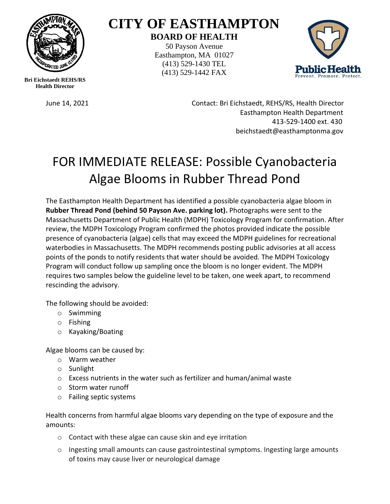

**CITY OF EASTHAMPTON BOARD OF HEALTH**

50 Payson Avenue Easthampton, MA 01027 (413) 529-1430 TEL (413) 529-1442 FAX



**Bri Eichstaedt REHS/RS Health Director**

June 14, 2021 Contact: Bri Eichstaedt, REHS/RS, Health Director Easthampton Health Department 413-529-1400 ext. 430 beichstaedt@easthamptonma.gov

## FOR IMMEDIATE RELEASE: Possible Cyanobacteria Algae Blooms in Rubber Thread Pond

The Easthampton Health Department has identified a possible cyanobacteria algae bloom in **Rubber Thread Pond (behind 50 Payson Ave. parking lot).** Photographs were sent to the Massachusetts Department of Public Health (MDPH) Toxicology Program for confirmation. After review, the MDPH Toxicology Program confirmed the photos provided indicate the possible presence of cyanobacteria (algae) cells that may exceed the MDPH guidelines for recreational waterbodies in Massachusetts. The MDPH recommends posting public advisories at all access points of the ponds to notify residents that water should be avoided. The MDPH Toxicology Program will conduct follow up sampling once the bloom is no longer evident. The MDPH requires two samples below the guideline level to be taken, one week apart, to recommend rescinding the advisory.

The following should be avoided:

- o Swimming
- o Fishing
- o Kayaking/Boating

Algae blooms can be caused by:

- o Warm weather
- o Sunlight
- o Excess nutrients in the water such as fertilizer and human/animal waste
- o Storm water runoff
- o Failing septic systems

Health concerns from harmful algae blooms vary depending on the type of exposure and the amounts:

- o Contact with these algae can cause skin and eye irritation
- $\circ$  Ingesting small amounts can cause gastrointestinal symptoms. Ingesting large amounts of toxins may cause liver or neurological damage